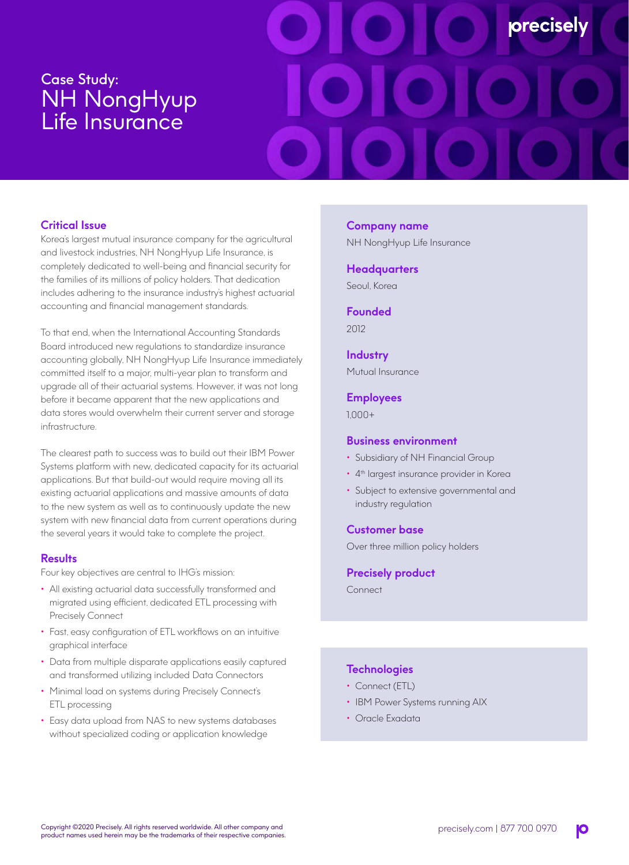# Case Study: NH NongHyup Life Insurance

# **precisely**

# **Critical Issue**

Korea's largest mutual insurance company for the agricultural and livestock industries, NH NongHyup Life Insurance, is completely dedicated to well-being and financial security for the families of its millions of policy holders. That dedication includes adhering to the insurance industry's highest actuarial accounting and financial management standards.

To that end, when the International Accounting Standards Board introduced new regulations to standardize insurance accounting globally, NH NongHyup Life Insurance immediately committed itself to a major, multi-year plan to transform and upgrade all of their actuarial systems. However, it was not long before it became apparent that the new applications and data stores would overwhelm their current server and storage infrastructure.

The clearest path to success was to build out their IBM Power Systems platform with new, dedicated capacity for its actuarial applications. But that build-out would require moving all its existing actuarial applications and massive amounts of data to the new system as well as to continuously update the new system with new financial data from current operations during the several years it would take to complete the project.

# **Results**

Four key objectives are central to IHG's mission:

- All existing actuarial data successfully transformed and migrated using efficient, dedicated ETL processing with Precisely Connect
- Fast, easy configuration of ETL workflows on an intuitive graphical interface
- Data from multiple disparate applications easily captured and transformed utilizing included Data Connectors
- Minimal load on systems during Precisely Connect's ETL processing
- Easy data upload from NAS to new systems databases without specialized coding or application knowledge

# **Company name**

NH NongHyup Life Insurance

#### **Headquarters**

Seoul, Korea

**Founded** 2012

# **Industry**

Mutual Insurance

#### **Employees**

1,000+

#### **Business environment**

- Subsidiary of NH Financial Group
- 4<sup>th</sup> largest insurance provider in Korea
- Subject to extensive governmental and industry regulation

#### **Customer base**

Over three million policy holders

#### **Precisely product**

Connect

# **Technologies**

- Connect (ETL)
- IBM Power Systems running AIX
- Oracle Exadata